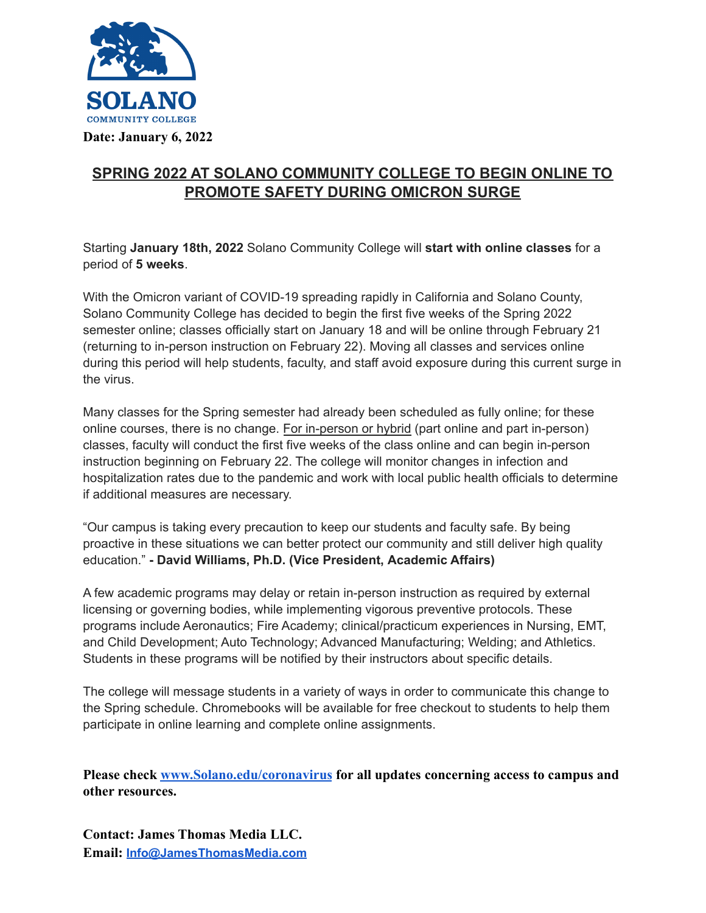

## **SPRING 2022 AT SOLANO COMMUNITY COLLEGE TO BEGIN ONLINE TO PROMOTE SAFETY DURING OMICRON SURGE**

Starting **January 18th, 2022** Solano Community College will **start with online classes** for a period of **5 weeks**.

With the Omicron variant of COVID-19 spreading rapidly in California and Solano County, Solano Community College has decided to begin the first five weeks of the Spring 2022 semester online; classes officially start on January 18 and will be online through February 21 (returning to in-person instruction on February 22). Moving all classes and services online during this period will help students, faculty, and staff avoid exposure during this current surge in the virus.

Many classes for the Spring semester had already been scheduled as fully online; for these online courses, there is no change. For in-person or hybrid (part online and part in-person) classes, faculty will conduct the first five weeks of the class online and can begin in-person instruction beginning on February 22. The college will monitor changes in infection and hospitalization rates due to the pandemic and work with local public health officials to determine if additional measures are necessary.

"Our campus is taking every precaution to keep our students and faculty safe. By being proactive in these situations we can better protect our community and still deliver high quality education." **- David Williams, Ph.D. (Vice President, Academic Affairs)**

A few academic programs may delay or retain in-person instruction as required by external licensing or governing bodies, while implementing vigorous preventive protocols. These programs include Aeronautics; Fire Academy; clinical/practicum experiences in Nursing, EMT, and Child Development; Auto Technology; Advanced Manufacturing; Welding; and Athletics. Students in these programs will be notified by their instructors about specific details.

The college will message students in a variety of ways in order to communicate this change to the Spring schedule. Chromebooks will be available for free checkout to students to help them participate in online learning and complete online assignments.

**Please check [www.Solano.edu/coronavirus](http://www.solano.edu/coronavirus) for all updates concerning access to campus and other resources.**

**Contact: James Thomas Media LLC. Email: [Info@JamesThomasMedia.com](mailto:Info@JamesThomasMedia.com)**